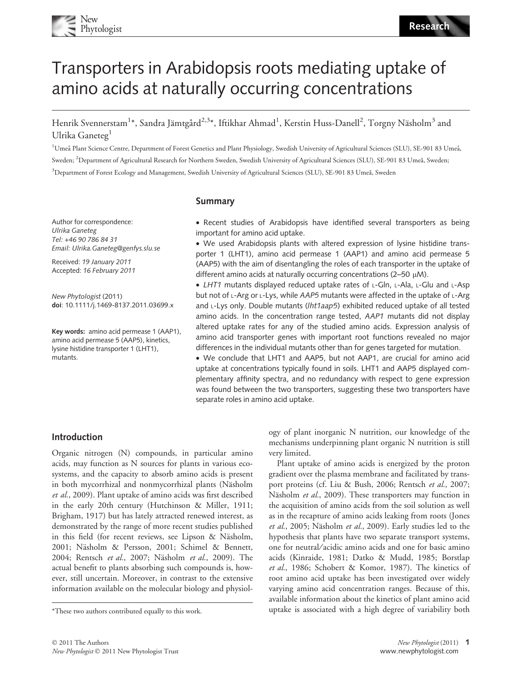# Transporters in Arabidopsis roots mediating uptake of amino acids at naturally occurring concentrations

Henrik Svennerstam<sup>1</sup>\*, Sandra Jämtgård<sup>2,3</sup>\*, Iftikhar Ahmad<sup>1</sup>, Kerstin Huss-Danell<sup>2</sup>, Torgny Näsholm<sup>3</sup> and Ulrika Ganeteg<sup>1</sup>

<sup>1</sup>Umeå Plant Science Centre, Department of Forest Genetics and Plant Physiology, Swedish University of Agricultural Sciences (SLU), SE-901 83 Umeå, Sweden; <sup>2</sup>Department of Agricultural Research for Northern Sweden, Swedish University of Agricultural Sciences (SLU), SE-901 83 Umeå, Sweden; <sup>3</sup>Department of Forest Ecology and Management, Swedish University of Agricultural Sciences (SLU), SE-901 83 Umeå, Sweden

## Summary

Author for correspondence: Ulrika Ganeteg Tel: +46 90 786 84 31 Email: Ulrika.Ganeteg@genfys.slu.se

Received: 19 January 2011 Accepted: 16 February 2011

New Phytologist (2011) doi: 10.1111/j.1469-8137.2011.03699.x

Key words: amino acid permease 1 (AAP1), amino acid permease 5 (AAP5), kinetics, lysine histidine transporter 1 (LHT1), mutants.

• Recent studies of Arabidopsis have identified several transporters as being important for amino acid uptake.

• We used Arabidopsis plants with altered expression of lysine histidine transporter 1 (LHT1), amino acid permease 1 (AAP1) and amino acid permease 5 (AAP5) with the aim of disentangling the roles of each transporter in the uptake of different amino acids at naturally occurring concentrations (2–50  $\mu$ M).

• LHT1 mutants displayed reduced uptake rates of L-Gln, L-Ala, L-Glu and L-Asp but not of L-Arg or L-Lys, while AAP5 mutants were affected in the uptake of L-Arg and L-Lys only. Double mutants (Iht1aap5) exhibited reduced uptake of all tested amino acids. In the concentration range tested, AAP1 mutants did not display altered uptake rates for any of the studied amino acids. Expression analysis of amino acid transporter genes with important root functions revealed no major differences in the individual mutants other than for genes targeted for mutation.

• We conclude that LHT1 and AAP5, but not AAP1, are crucial for amino acid uptake at concentrations typically found in soils. LHT1 and AAP5 displayed complementary affinity spectra, and no redundancy with respect to gene expression was found between the two transporters, suggesting these two transporters have separate roles in amino acid uptake.

# Introduction

Organic nitrogen (N) compounds, in particular amino acids, may function as N sources for plants in various ecosystems, and the capacity to absorb amino acids is present in both mycorrhizal and nonmycorrhizal plants (Näsholm et al., 2009). Plant uptake of amino acids was first described in the early 20th century (Hutchinson & Miller, 1911; Brigham, 1917) but has lately attracted renewed interest, as demonstrated by the range of more recent studies published in this field (for recent reviews, see Lipson & Näsholm, 2001; Näsholm & Persson, 2001; Schimel & Bennett, 2004; Rentsch et al., 2007; Näsholm et al., 2009). The actual benefit to plants absorbing such compounds is, however, still uncertain. Moreover, in contrast to the extensive information available on the molecular biology and physiology of plant inorganic N nutrition, our knowledge of the mechanisms underpinning plant organic N nutrition is still very limited.

Plant uptake of amino acids is energized by the proton gradient over the plasma membrane and facilitated by transport proteins (cf. Liu & Bush, 2006; Rentsch et al., 2007; Näsholm et al., 2009). These transporters may function in the acquisition of amino acids from the soil solution as well as in the recapture of amino acids leaking from roots (Jones et al., 2005; Näsholm et al., 2009). Early studies led to the hypothesis that plants have two separate transport systems, one for neutral/acidic amino acids and one for basic amino acids (Kinraide, 1981; Datko & Mudd, 1985; Borstlap et al., 1986; Schobert & Komor, 1987). The kinetics of root amino acid uptake has been investigated over widely varying amino acid concentration ranges. Because of this, available information about the kinetics of plant amino acid \*These two authors contributed equally to this work. uptake is associated with a high degree of variability both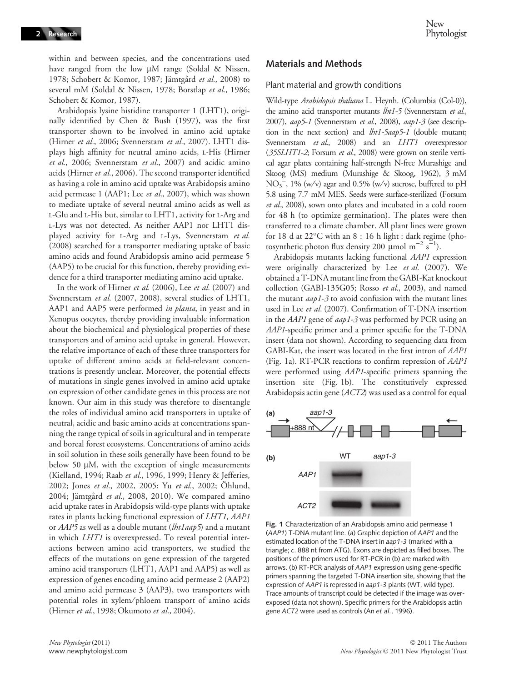within and between species, and the concentrations used have ranged from the low  $\mu$ M range (Soldal & Nissen, 1978; Schobert & Komor, 1987; Jämtgård et al., 2008) to several mM (Soldal & Nissen, 1978; Borstlap et al., 1986; Schobert & Komor, 1987).

Arabidopsis lysine histidine transporter 1 (LHT1), originally identified by Chen & Bush (1997), was the first transporter shown to be involved in amino acid uptake (Hirner et al., 2006; Svennerstam et al., 2007). LHT1 displays high affinity for neutral amino acids, <sup>L</sup>-His (Hirner et al., 2006; Svennerstam et al., 2007) and acidic amino acids (Hirner et al., 2006). The second transporter identified as having a role in amino acid uptake was Arabidopsis amino acid permease 1 (AAP1; Lee et al., 2007), which was shown to mediate uptake of several neutral amino acids as well as L-Glu and L-His but, similar to LHT1, activity for L-Arg and L-Lys was not detected. As neither AAP1 nor LHT1 displayed activity for L-Arg and L-Lys, Svennerstam et al. (2008) searched for a transporter mediating uptake of basic amino acids and found Arabidopsis amino acid permease 5 (AAP5) to be crucial for this function, thereby providing evidence for a third transporter mediating amino acid uptake.

In the work of Hirner et al. (2006), Lee et al. (2007) and Svennerstam et al. (2007, 2008), several studies of LHT1, AAP1 and AAP5 were performed in planta, in yeast and in Xenopus oocytes, thereby providing invaluable information about the biochemical and physiological properties of these transporters and of amino acid uptake in general. However, the relative importance of each of these three transporters for uptake of different amino acids at field-relevant concentrations is presently unclear. Moreover, the potential effects of mutations in single genes involved in amino acid uptake on expression of other candidate genes in this process are not known. Our aim in this study was therefore to disentangle the roles of individual amino acid transporters in uptake of neutral, acidic and basic amino acids at concentrations spanning the range typical of soils in agricultural and in temperate and boreal forest ecosystems. Concentrations of amino acids in soil solution in these soils generally have been found to be below 50  $\mu$ M, with the exception of single measurements (Kielland, 1994; Raab et al., 1996, 1999; Henry & Jefferies, 2002; Jones et al., 2002, 2005; Yu et al., 2002; Öhlund, 2004; Jämtgård et al., 2008, 2010). We compared amino acid uptake rates in Arabidopsis wild-type plants with uptake rates in plants lacking functional expression of LHT1, AAP1 or AAP5 as well as a double mutant (lht1aap5) and a mutant in which LHT1 is overexpressed. To reveal potential interactions between amino acid transporters, we studied the effects of the mutations on gene expression of the targeted amino acid transporters (LHT1, AAP1 and AAP5) as well as expression of genes encoding amino acid permease 2 (AAP2) and amino acid permease 3 (AAP3), two transporters with potential roles in xylem⁄ phloem transport of amino acids (Hirner et al., 1998; Okumoto et al., 2004).

## Materials and Methods

#### Plant material and growth conditions

Wild-type Arabidopsis thaliana L. Heynh. (Columbia (Col-0)), the amino acid transporter mutants *lht1-5* (Svennerstam et al., 2007), aap5-1 (Svennerstam et al., 2008), aap1-3 (see description in the next section) and *lht1-5aap5-1* (double mutant; Svennerstam et al., 2008) and an LHT1 overexpressor (35SLHT1-2; Forsum et al., 2008) were grown on sterile vertical agar plates containing half-strength N-free Murashige and Skoog (MS) medium (Murashige & Skoog, 1962), 3 mM NO<sub>3</sub><sup>-</sup>, 1% (w/v) agar and 0.5% (w/v) sucrose, buffered to pH 5.8 using 7.7 mM MES. Seeds were surface-sterilized (Forsum et al., 2008), sown onto plates and incubated in a cold room for 48 h (to optimize germination). The plates were then transferred to a climate chamber. All plant lines were grown for 18 d at  $22^{\circ}$ C with an  $8:16$  h light : dark regime (photosynthetic photon flux density 200  $\mu$ mol m<sup>-2</sup> s<sup>-1</sup>).

Arabidopsis mutants lacking functional AAP1 expression were originally characterized by Lee et al. (2007). We obtained a T-DNA mutant line from the GABI-Kat knockout collection (GABI-135G05; Rosso et al., 2003), and named the mutant *aap1-3* to avoid confusion with the mutant lines used in Lee et al. (2007). Confirmation of T-DNA insertion in the *AAP1* gene of *aap1-3* was performed by PCR using an AAP1-specific primer and a primer specific for the T-DNA insert (data not shown). According to sequencing data from GABI-Kat, the insert was located in the first intron of AAP1 (Fig. 1a). RT-PCR reactions to confirm repression of AAP1 were performed using AAP1-specific primers spanning the insertion site (Fig. 1b). The constitutively expressed Arabidopsis actin gene (ACT2) was used as a control for equal



Fig. 1 Characterization of an Arabidopsis amino acid permease 1 (AAP1) T-DNA mutant line. (a) Graphic depiction of AAP1 and the estimated location of the T-DNA insert in aap1-3 (marked with a triangle; c. 888 nt from ATG). Exons are depicted as filled boxes. The positions of the primers used for RT-PCR in (b) are marked with arrows. (b) RT-PCR analysis of AAP1 expression using gene-specific primers spanning the targeted T-DNA insertion site, showing that the expression of AAP1 is repressed in aap1-3 plants (WT, wild type). Trace amounts of transcript could be detected if the image was overexposed (data not shown). Specific primers for the Arabidopsis actin gene ACT2 were used as controls (An et al., 1996).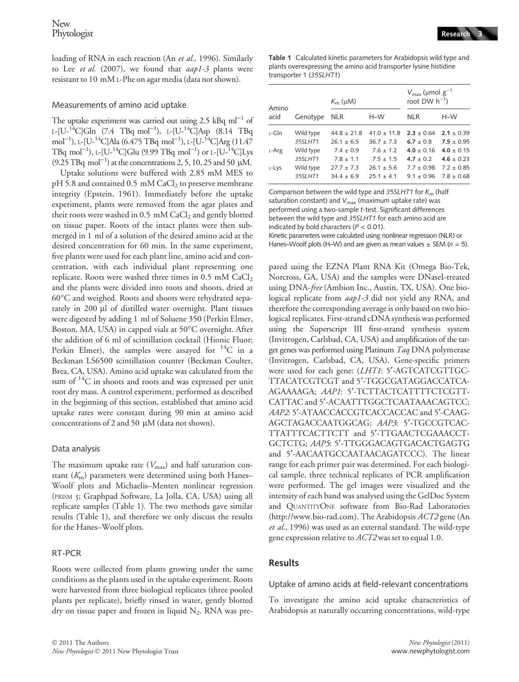loading of RNA in each reaction (An et al., 1996). Similarly to Lee et al.  $(2007)$ , we found that  $aap1-3$  plants were resistant to 10 mM <sup>L</sup>-Phe on agar media (data not shown).

## Measurements of amino acid uptake

The uptake experiment was carried out using  $2.5$  kBq m $l^{-1}$  of  $L-[U-{}^{14}C]Gln[(7.4 TBq mol^{-1}), L-[U-{}^{14}C]Asp (8.14 TBq$ mol<sup>-1</sup>), L-[U-<sup>14</sup>C]Ala (6.475 TBq mol<sup>-1</sup>), L-[U-<sup>14</sup>C]Arg (11.47 TBq mol $^{-1}$ ), L-[U- $^{14}$ C]Glu (9.99 TBq mol $^{-1}$ ) or L-[U- $^{14}$ C]Lys  $(9.25 \text{ TBq mol}^{-1})$  at the concentrations 2, 5, 10, 25 and 50 µM.

Uptake solutions were buffered with 2.85 mM MES to  $pH$  5.8 and contained 0.5 mM CaCl<sub>2</sub> to preserve membrane integrity (Epstein, 1961). Immediately before the uptake experiment, plants were removed from the agar plates and their roots were washed in  $0.5 \text{ mM } CaCl<sub>2</sub>$  and gently blotted on tissue paper. Roots of the intact plants were then submerged in 1 ml of a solution of the desired amino acid at the desired concentration for 60 min. In the same experiment, five plants were used for each plant line, amino acid and concentration, with each individual plant representing one replicate. Roots were washed three times in  $0.5 \text{ mM } CaCl<sub>2</sub>$ and the plants were divided into roots and shoots, dried at 60C and weighed. Roots and shoots were rehydrated separately in 200 µl of distilled water overnight. Plant tissues were digested by adding 1 ml of Soluene 350 (Perkin Elmer, Boston, MA, USA) in capped vials at 50°C overnight. After the addition of 6 ml of scintillation cocktail (Hionic Fluor; Perkin Elmer), the samples were assayed for  $^{14}C$  in a Beckman LS6500 scintillation counter (Beckman Coulter, Brea, CA, USA). Amino acid uptake was calculated from the sum of  $14$ C in shoots and roots and was expressed per unit root dry mass. A control experiment, performed as described in the beginning of this section, established that amino acid uptake rates were constant during 90 min at amino acid concentrations of 2 and 50  $\mu$ M (data not shown).

## Data analysis

The maximum uptake rate  $(V_{\text{max}})$  and half saturation constant  $(K<sub>m</sub>)$  parameters were determined using both Hanes-Woolf plots and Michaelis–Menten nonlinear regression (PRISM 5; Graphpad Software, La Jolla, CA, USA) using all replicate samples (Table 1). The two methods gave similar results (Table 1), and therefore we only discuss the results for the Hanes–Woolf plots.

# RT-PCR

Roots were collected from plants growing under the same conditions as the plants used in the uptake experiment. Roots were harvested from three biological replicates (three pooled plants per replicate), briefly rinsed in water, gently blotted dry on tissue paper and frozen in liquid  $N_2$ . RNA was preTable 1 Calculated kinetic parameters for Arabidopsis wild type and plants overexpressing the amino acid transporter lysine histidine transporter 1 (35SLHT1)

| Amino |           | $K_{\rm m}$ ( $\mu$ M) |                | $V_{\text{max}}$ (µmol $g^{-1}$<br>root DW $h^{-1}$ ) |                |
|-------|-----------|------------------------|----------------|-------------------------------------------------------|----------------|
| acid  | Genotype  | <b>NLR</b>             | $H-W$          | <b>NLR</b>                                            | $H-W$          |
| ı-Gln | Wild type | $44.8 \pm 21.8$        | $410 + 118$    | $2.3 + 0.64$                                          | $2.1 \pm 0.39$ |
|       | 35SLHT1   | $261 + 65$             | $367 + 73$     | $6.7 + 0.8$                                           | $7.5 \pm 0.95$ |
| L-Arg | Wild type | $7.4 \pm 0.9$          | $76 + 12$      | $4.0 \pm 0.16$                                        | $4.0 + 0.15$   |
|       | 35SLHT1   | $78 + 11$              | $75 + 15$      | $4.7 \pm 0.2$                                         | $4.6 \pm 0.23$ |
| L-Lys | Wild type | $27.7 + 7.3$           | $26.1 + 5.6$   | $7.7 \pm 0.98$                                        | $72 + 0.85$    |
|       | 35SLHT1   | $344 + 69$             | $25.1 \pm 4.1$ | $91 + 0.96$                                           | $7.8 \pm 0.68$ |

Comparison between the wild type and 35SLHT1 for  $K<sub>m</sub>$  (half saturation constant) and  $V_{\text{max}}$  (maximum uptake rate) was performed using a two-sample t-test. Significant differences between the wild type and 35SLHT1 for each amino acid are indicated by bold characters ( $P < 0.01$ ).

Kinetic parameters were calculated using nonlinear regression (NLR) or Hanes–Woolf plots (H–W) and are given as mean values  $\pm$  SEM ( $n = 5$ ).

pared using the EZNA Plant RNA Kit (Omega Bio-Tek, Norcross, GA, USA) and the samples were DNaseI-treated using DNA-free (Ambion Inc., Austin, TX, USA). One biological replicate from *aap1-3* did not yield any RNA, and therefore the corresponding average is only based on two biological replicates. First-strand cDNA synthesis was performed using the Superscript III first-strand synthesis system (Invitrogen, Carlsbad, CA, USA) and amplification of the target genes was performed using Platinum Taq DNA polymerase (Invitrogen, Carlsbad, CA, USA). Gene-specific primers were used for each gene: (LHT1: 5'-AGTCATCGTTGC-TTACATCGTCGT and 5¢-TGGCGATAGGACCATCA-AGAAAAGA; AAP1: 5'-TCTTACTCATTTTCTCGTT-CATTAC and 5¢-ACAATTTGGCTCAATAAACAGTCC; AAP2: 5'-ATAACCACCGTCACCACCAC and 5'-CAAG-AGCTAGACCAATGGCAG; AAP3: 5¢-TGCCGTCAC-TTATTTCACTTCTT and 5¢-TTGAACTCGAAACCT-GCTCTG; AAP5: 5'-TTGGGACAGTGACACTGAGTG and 5¢-AACAATGCCAATAACAGATCCC). The linear range for each primer pair was determined. For each biological sample, three technical replicates of PCR amplification were performed. The gel images were visualized and the intensity of each band was analysed using the GelDoc System and QUANTITYONE software from Bio-Rad Laboratories (http://www.bio-rad.com). The Arabidopsis ACT2 gene (An et al., 1996) was used as an external standard. The wild-type gene expression relative to ACT2 was set to equal 1.0.

# Results

Uptake of amino acids at field-relevant concentrations

To investigate the amino acid uptake characteristics of Arabidopsis at naturally occurring concentrations, wild-type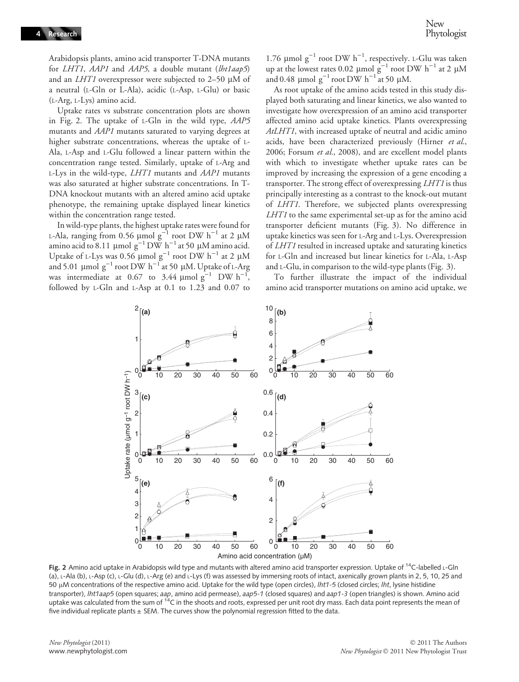Arabidopsis plants, amino acid transporter T-DNA mutants for *LHT1*, *AAP1* and *AAP5*, a double mutant (*lht1aap5*) and an *LHT1* overexpressor were subjected to  $2-50$  µM of a neutral (L-Gln or L-Ala), acidic (L-Asp, <sup>L</sup>-Glu) or basic (L-Arg, <sup>L</sup>-Lys) amino acid.

Uptake rates vs substrate concentration plots are shown in Fig. 2. The uptake of <sup>L</sup>-Gln in the wild type, AAP5 mutants and AAP1 mutants saturated to varying degrees at higher substrate concentrations, whereas the uptake of <sup>L</sup>-Ala, <sup>L</sup>-Asp and <sup>L</sup>-Glu followed a linear pattern within the concentration range tested. Similarly, uptake of <sup>L</sup>-Arg and  $L$ -Lys in the wild-type,  $LHT1$  mutants and  $AAP1$  mutants was also saturated at higher substrate concentrations. In T-DNA knockout mutants with an altered amino acid uptake phenotype, the remaining uptake displayed linear kinetics within the concentration range tested.

In wild-type plants, the highest uptake rates were found for L-Ala, ranging from 0.56  $\mu$ mol g<sup>-1</sup> root DW h<sup>-1</sup> at 2  $\mu$ M amino acid to 8.11 µmol  $g^{-1}$  DW h<sup>-1</sup> at 50 µM amino acid. Uptake of L-Lys was 0.56  $\mu$ mol g<sup>-1</sup> root DW h<sup>-1</sup> at 2  $\mu$ M and 5.01  $\mu$ mol  $g^{-1}$  root DW h<sup>-1</sup> at 50  $\mu$ M. Uptake of L-Arg was intermediate at 0.67 to 3.44  $\mu$ mol  $g^{-1}$  DW h<sup>-1</sup>, followed by <sup>L</sup>-Gln and <sup>L</sup>-Asp at 0.1 to 1.23 and 0.07 to

1.76  $\mu$ mol g<sup>-1</sup> root DW h<sup>-1</sup>, respectively. L-Glu was taken up at the lowest rates 0.02  $\mu$ mol g<sup>-1</sup> root DW h<sup>-1</sup> at 2  $\mu$ M and 0.48  $\mu$ mol g<sup>-1</sup> root DW h<sup>-1</sup> at 50  $\mu$ M.

As root uptake of the amino acids tested in this study displayed both saturating and linear kinetics, we also wanted to investigate how overexpression of an amino acid transporter affected amino acid uptake kinetics. Plants overexpressing AtLHT1, with increased uptake of neutral and acidic amino acids, have been characterized previously (Hirner et al., 2006; Forsum et al., 2008), and are excellent model plants with which to investigate whether uptake rates can be improved by increasing the expression of a gene encoding a transporter. The strong effect of overexpressing LHT1 is thus principally interesting as a contrast to the knock-out mutant of LHT1. Therefore, we subjected plants overexpressing LHT1 to the same experimental set-up as for the amino acid transporter deficient mutants (Fig. 3). No difference in uptake kinetics was seen for <sup>L</sup>-Arg and <sup>L</sup>-Lys. Overexpression of LHT1 resulted in increased uptake and saturating kinetics for <sup>L</sup>-Gln and increased but linear kinetics for <sup>L</sup>-Ala, <sup>L</sup>-Asp and <sup>L</sup>-Glu, in comparison to the wild-type plants (Fig. 3).

To further illustrate the impact of the individual amino acid transporter mutations on amino acid uptake, we



Fig. 2 Amino acid uptake in Arabidopsis wild type and mutants with altered amino acid transporter expression. Uptake of <sup>14</sup>C-labelled L-Gln (a), L-Ala (b), L-Asp (c), L-Glu (d), L-Arg (e) and L-Lys (f) was assessed by immersing roots of intact, axenically grown plants in 2, 5, 10, 25 and 50 µM concentrations of the respective amino acid. Uptake for the wild type (open circles), lht1-5 (closed circles; lht, lysine histidine transporter), Iht1aap5 (open squares; aap, amino acid permease), aap5-1 (closed squares) and aap1-3 (open triangles) is shown. Amino acid uptake was calculated from the sum of  $14C$  in the shoots and roots, expressed per unit root dry mass. Each data point represents the mean of five individual replicate plants  $\pm$  SEM. The curves show the polynomial regression fitted to the data.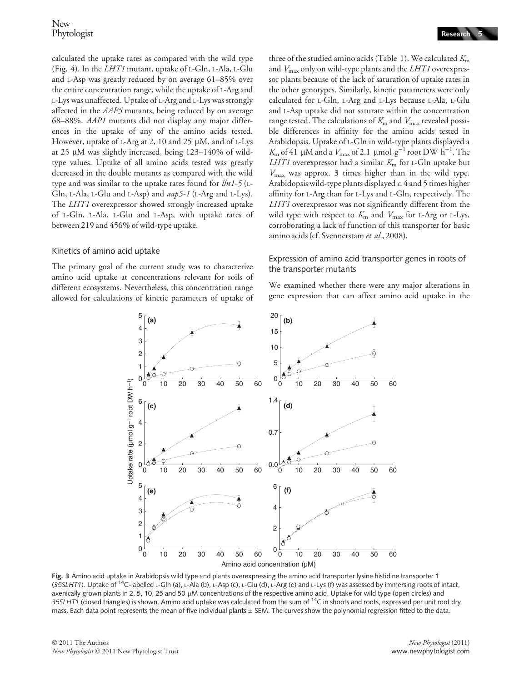calculated the uptake rates as compared with the wild type (Fig. 4). In the LHT1 mutant, uptake of <sup>L</sup>-Gln, <sup>L</sup>-Ala, <sup>L</sup>-Glu and <sup>L</sup>-Asp was greatly reduced by on average 61–85% over the entire concentration range, while the uptake of <sup>L</sup>-Arg and L-Lys was unaffected. Uptake of L-Arg and L-Lys was strongly affected in the AAP5 mutants, being reduced by on average 68–88%. AAP1 mutants did not display any major differences in the uptake of any of the amino acids tested. However, uptake of L-Arg at 2, 10 and 25  $\mu$ M, and of L-Lys at 25  $\mu$ M was slightly increased, being 123–140% of wildtype values. Uptake of all amino acids tested was greatly decreased in the double mutants as compared with the wild type and was similar to the uptake rates found for  $lht1-5$  (L-Gln, <sup>L</sup>-Ala, <sup>L</sup>-Glu and <sup>L</sup>-Asp) and aap5-1 (L-Arg and <sup>L</sup>-Lys). The LHT1 overexpressor showed strongly increased uptake of <sup>L</sup>-Gln, <sup>L</sup>-Ala, <sup>L</sup>-Glu and <sup>L</sup>-Asp, with uptake rates of between 219 and 456% of wild-type uptake.

#### Kinetics of amino acid uptake

The primary goal of the current study was to characterize amino acid uptake at concentrations relevant for soils of different ecosystems. Nevertheless, this concentration range allowed for calculations of kinetic parameters of uptake of three of the studied amino acids (Table 1). We calculated  $K<sub>m</sub>$ and  $V_{\text{max}}$  only on wild-type plants and the LHT1 overexpressor plants because of the lack of saturation of uptake rates in the other genotypes. Similarly, kinetic parameters were only calculated for <sup>L</sup>-Gln, <sup>L</sup>-Arg and <sup>L</sup>-Lys because <sup>L</sup>-Ala, <sup>L</sup>-Glu and <sup>L</sup>-Asp uptake did not saturate within the concentration range tested. The calculations of  $K<sub>m</sub>$  and  $V<sub>max</sub>$  revealed possible differences in affinity for the amino acids tested in Arabidopsis. Uptake of <sup>L</sup>-Gln in wild-type plants displayed a  $K_{\rm m}$  of 41 µM and a  $V_{\rm max}$  of 2.1 µmol g<sup>-1</sup> root DW h<sup>-1</sup>. The LHT1 overexpressor had a similar  $K<sub>m</sub>$  for L-Gln uptake but  $V_{\text{max}}$  was approx. 3 times higher than in the wild type. Arabidopsis wild-type plants displayed  $c$ . 4 and 5 times higher affinity for <sup>L</sup>-Arg than for <sup>L</sup>-Lys and <sup>L</sup>-Gln, respectively. The LHT1 overexpressor was not significantly different from the wild type with respect to  $K<sub>m</sub>$  and  $V<sub>max</sub>$  for L-Arg or L-Lys,

## Expression of amino acid transporter genes in roots of the transporter mutants

corroborating a lack of function of this transporter for basic

amino acids (cf. Svennerstam et al., 2008).

We examined whether there were any major alterations in gene expression that can affect amino acid uptake in the



Fig. 3 Amino acid uptake in Arabidopsis wild type and plants overexpressing the amino acid transporter lysine histidine transporter 1 (35SLHT1). Uptake of 14C-labelled L-Gln (a), L-Ala (b), L-Asp (c), L-Glu (d), L-Arg (e) and L-Lys (f) was assessed by immersing roots of intact, axenically grown plants in 2, 5, 10, 25 and 50 µM concentrations of the respective amino acid. Uptake for wild type (open circles) and 35SLHT1 (closed triangles) is shown. Amino acid uptake was calculated from the sum of  $^{14}C$  in shoots and roots, expressed per unit root dry mass. Each data point represents the mean of five individual plants ± SEM. The curves show the polynomial regression fitted to the data.

© 2011 The Authors New Phytologist © 2011 New Phytologist Trust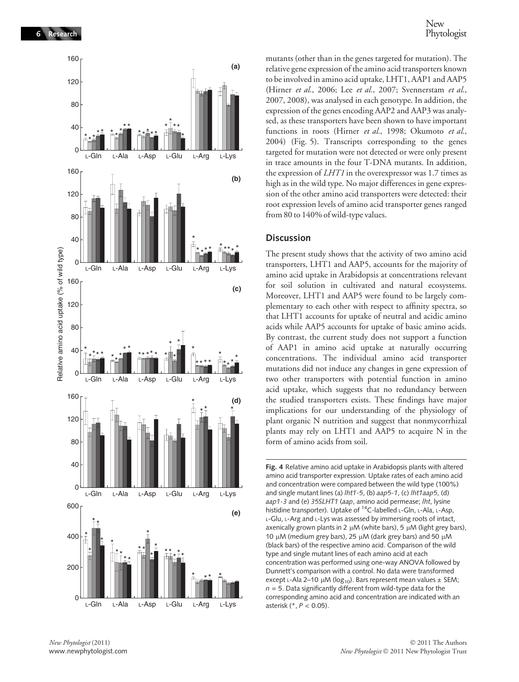

mutants (other than in the genes targeted for mutation). The relative gene expression of the amino acid transporters known to be involved in amino acid uptake, LHT1, AAP1 and AAP5 (Hirner et al., 2006; Lee et al., 2007; Svennerstam et al., 2007, 2008), was analysed in each genotype. In addition, the expression of the genes encoding AAP2 and AAP3 was analysed, as these transporters have been shown to have important functions in roots (Hirner et al., 1998; Okumoto et al., 2004) (Fig. 5). Transcripts corresponding to the genes targeted for mutation were not detected or were only present in trace amounts in the four T-DNA mutants. In addition, the expression of LHT1 in the overexpressor was 1.7 times as high as in the wild type. No major differences in gene expression of the other amino acid transporters were detected: their root expression levels of amino acid transporter genes ranged from 80 to 140% of wild-type values.

#### **Discussion**

The present study shows that the activity of two amino acid transporters, LHT1 and AAP5, accounts for the majority of amino acid uptake in Arabidopsis at concentrations relevant for soil solution in cultivated and natural ecosystems. Moreover, LHT1 and AAP5 were found to be largely complementary to each other with respect to affinity spectra, so that LHT1 accounts for uptake of neutral and acidic amino acids while AAP5 accounts for uptake of basic amino acids. By contrast, the current study does not support a function of AAP1 in amino acid uptake at naturally occurring concentrations. The individual amino acid transporter mutations did not induce any changes in gene expression of two other transporters with potential function in amino acid uptake, which suggests that no redundancy between the studied transporters exists. These findings have major implications for our understanding of the physiology of plant organic N nutrition and suggest that nonmycorrhizal plants may rely on LHT1 and AAP5 to acquire N in the form of amino acids from soil.

Fig. 4 Relative amino acid uptake in Arabidopsis plants with altered amino acid transporter expression. Uptake rates of each amino acid and concentration were compared between the wild type (100%) and single mutant lines (a) lht1-5, (b) aap5-1, (c) lht1aap5, (d) aap1-3 and (e) 35SLHT1 (aap, amino acid permease; lht, lysine histidine transporter). Uptake of <sup>14</sup>C-labelled L-Gln, L-Ala, L-Asp, L-Glu, L-Arg and L-Lys was assessed by immersing roots of intact, axenically grown plants in 2  $\mu$ M (white bars), 5  $\mu$ M (light grey bars), 10  $\mu$ M (medium grey bars), 25  $\mu$ M (dark grey bars) and 50  $\mu$ M (black bars) of the respective amino acid. Comparison of the wild type and single mutant lines of each amino acid at each concentration was performed using one-way ANOVA followed by Dunnett's comparison with a control. No data were transformed except L-Ala 2–10 µM (log<sub>10</sub>). Bars represent mean values  $\pm$  SEM;  $n = 5$ . Data significantly different from wild-type data for the corresponding amino acid and concentration are indicated with an asterisk (\*, P < 0.05).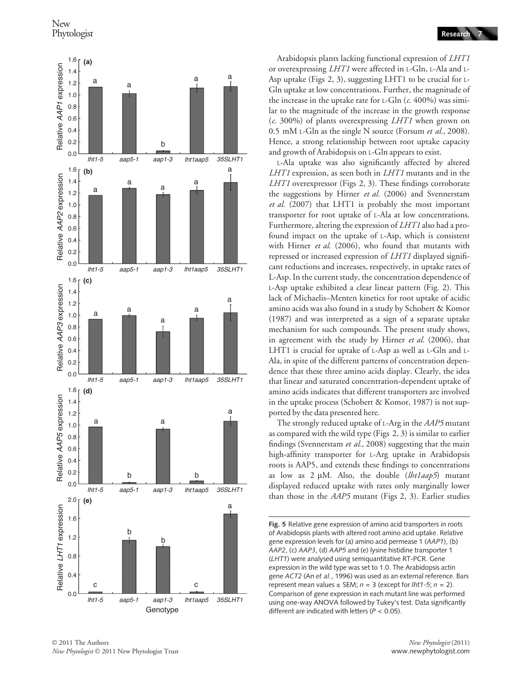

Arabidopsis plants lacking functional expression of LHT1 or overexpressing LHT1 were affected in <sup>L</sup>-Gln, <sup>L</sup>-Ala and <sup>L</sup>-Asp uptake (Figs 2, 3), suggesting LHT1 to be crucial for <sup>L</sup>-Gln uptake at low concentrations. Further, the magnitude of the increase in the uptake rate for  $L$ -Gln (c. 400%) was similar to the magnitude of the increase in the growth response  $(c. 300\%)$  of plants overexpressing *LHT1* when grown on 0.5 mM L-Gln as the single N source (Forsum et al., 2008). Hence, a strong relationship between root uptake capacity and growth of Arabidopsis on <sup>L</sup>-Gln appears to exist.

L-Ala uptake was also significantly affected by altered LHT1 expression, as seen both in LHT1 mutants and in the LHT1 overexpressor (Figs 2, 3). These findings corroborate the suggestions by Hirner et al. (2006) and Svennerstam et al. (2007) that LHT1 is probably the most important transporter for root uptake of <sup>L</sup>-Ala at low concentrations. Furthermore, altering the expression of LHT1 also had a profound impact on the uptake of <sup>L</sup>-Asp, which is consistent with Hirner et al. (2006), who found that mutants with repressed or increased expression of LHT1 displayed significant reductions and increases, respectively, in uptake rates of L-Asp. In the current study, the concentration dependence of <sup>L</sup>-Asp uptake exhibited a clear linear pattern (Fig. 2). This lack of Michaelis–Menten kinetics for root uptake of acidic amino acids was also found in a study by Schobert & Komor (1987) and was interpreted as a sign of a separate uptake mechanism for such compounds. The present study shows, in agreement with the study by Hirner et al. (2006), that LHT1 is crucial for uptake of <sup>L</sup>-Asp as well as <sup>L</sup>-Gln and <sup>L</sup>-Ala, in spite of the different patterns of concentration dependence that these three amino acids display. Clearly, the idea that linear and saturated concentration-dependent uptake of amino acids indicates that different transporters are involved in the uptake process (Schobert & Komor, 1987) is not supported by the data presented here.

The strongly reduced uptake of L-Arg in the AAP5 mutant as compared with the wild type (Figs 2, 3) is similar to earlier findings (Svennerstam et al., 2008) suggesting that the main high-affinity transporter for <sup>L</sup>-Arg uptake in Arabidopsis roots is AAP5, and extends these findings to concentrations as low as  $2 \mu M$ . Also, the double (lht1aap5) mutant displayed reduced uptake with rates only marginally lower than those in the AAP5 mutant (Figs 2, 3). Earlier studies

Fig. 5 Relative gene expression of amino acid transporters in roots of Arabidopsis plants with altered root amino acid uptake. Relative gene expression levels for (a) amino acid permease 1 (AAP1), (b) AAP2, (c) AAP3, (d) AAP5 and (e) lysine histidine transporter 1 (LHT1) were analysed using semiquantitative RT-PCR. Gene expression in the wild type was set to 1.0. The Arabidopsis actin gene ACT2 (An et al., 1996) was used as an external reference. Bars represent mean values  $\pm$  SEM;  $n = 3$  (except for lht1-5;  $n = 2$ ). Comparison of gene expression in each mutant line was performed using one-way ANOVA followed by Tukey's test. Data significantly different are indicated with letters ( $P < 0.05$ ).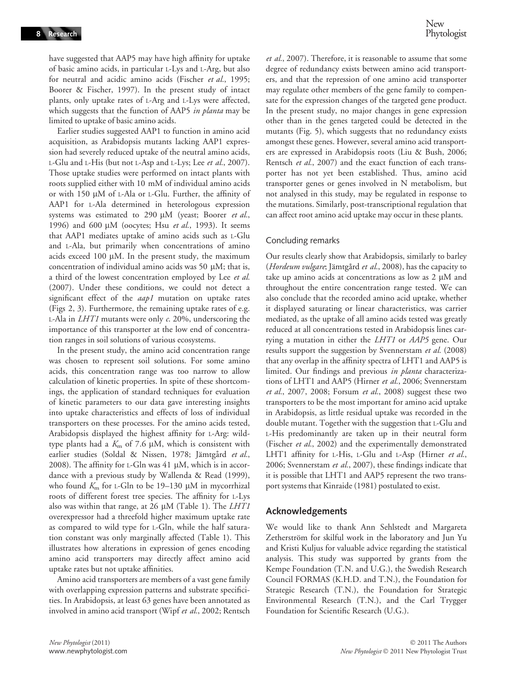have suggested that AAP5 may have high affinity for uptake of basic amino acids, in particular <sup>L</sup>-Lys and <sup>L</sup>-Arg, but also for neutral and acidic amino acids (Fischer et al., 1995; Boorer & Fischer, 1997). In the present study of intact plants, only uptake rates of <sup>L</sup>-Arg and <sup>L</sup>-Lys were affected, which suggests that the function of AAP5 in planta may be limited to uptake of basic amino acids.

Earlier studies suggested AAP1 to function in amino acid acquisition, as Arabidopsis mutants lacking AAP1 expression had severely reduced uptake of the neutral amino acids, L-Glu and L-His (but not L-Asp and L-Lys; Lee et al., 2007). Those uptake studies were performed on intact plants with roots supplied either with 10 mM of individual amino acids or with 150 µM of L-Ala or L-Glu. Further, the affinity of AAP1 for <sup>L</sup>-Ala determined in heterologous expression systems was estimated to 290  $\mu$ M (yeast; Boorer et al., 1996) and 600  $\mu$ M (oocytes; Hsu et al., 1993). It seems that AAP1 mediates uptake of amino acids such as <sup>L</sup>-Glu and <sup>L</sup>-Ala, but primarily when concentrations of amino acids exceed 100  $\mu$ M. In the present study, the maximum concentration of individual amino acids was 50  $\mu$ M; that is, a third of the lowest concentration employed by Lee et al. (2007). Under these conditions, we could not detect a significant effect of the *aap1* mutation on uptake rates (Figs 2, 3). Furthermore, the remaining uptake rates of e.g. <sup>L</sup>-Ala in LHT1 mutants were only c. 20%, underscoring the importance of this transporter at the low end of concentration ranges in soil solutions of various ecosystems.

In the present study, the amino acid concentration range was chosen to represent soil solutions. For some amino acids, this concentration range was too narrow to allow calculation of kinetic properties. In spite of these shortcomings, the application of standard techniques for evaluation of kinetic parameters to our data gave interesting insights into uptake characteristics and effects of loss of individual transporters on these processes. For the amino acids tested, Arabidopsis displayed the highest affinity for <sup>L</sup>-Arg: wildtype plants had a  $K_m$  of 7.6  $\mu$ M, which is consistent with earlier studies (Soldal & Nissen, 1978; Jämtgård et al., 2008). The affinity for L-Gln was  $41 \mu$ M, which is in accordance with a previous study by Wallenda & Read (1999), who found  $K<sub>m</sub>$  for L-Gln to be 19–130 µM in mycorrhizal roots of different forest tree species. The affinity for <sup>L</sup>-Lys also was within that range, at 26  $\mu$ M (Table 1). The *LHT1* overexpressor had a threefold higher maximum uptake rate as compared to wild type for <sup>L</sup>-Gln, while the half saturation constant was only marginally affected (Table 1). This illustrates how alterations in expression of genes encoding amino acid transporters may directly affect amino acid uptake rates but not uptake affinities.

Amino acid transporters are members of a vast gene family with overlapping expression patterns and substrate specificities. In Arabidopsis, at least 63 genes have been annotated as involved in amino acid transport (Wipf et al., 2002; Rentsch

et al., 2007). Therefore, it is reasonable to assume that some degree of redundancy exists between amino acid transporters, and that the repression of one amino acid transporter may regulate other members of the gene family to compensate for the expression changes of the targeted gene product. In the present study, no major changes in gene expression other than in the genes targeted could be detected in the mutants (Fig. 5), which suggests that no redundancy exists amongst these genes. However, several amino acid transporters are expressed in Arabidopsis roots (Liu & Bush, 2006; Rentsch et al., 2007) and the exact function of each transporter has not yet been established. Thus, amino acid transporter genes or genes involved in N metabolism, but not analysed in this study, may be regulated in response to the mutations. Similarly, post-transcriptional regulation that can affect root amino acid uptake may occur in these plants.

#### Concluding remarks

Our results clearly show that Arabidopsis, similarly to barley (Hordeum vulgare; Jämtgård et al., 2008), has the capacity to take up amino acids at concentrations as low as  $2 \mu M$  and throughout the entire concentration range tested. We can also conclude that the recorded amino acid uptake, whether it displayed saturating or linear characteristics, was carrier mediated, as the uptake of all amino acids tested was greatly reduced at all concentrations tested in Arabidopsis lines carrying a mutation in either the LHT1 or AAP5 gene. Our results support the suggestion by Svennerstam et al. (2008) that any overlap in the affinity spectra of LHT1 and AAP5 is limited. Our findings and previous in planta characterizations of LHT1 and AAP5 (Hirner et al., 2006; Svennerstam et al., 2007, 2008; Forsum et al., 2008) suggest these two transporters to be the most important for amino acid uptake in Arabidopsis, as little residual uptake was recorded in the double mutant. Together with the suggestion that <sup>L</sup>-Glu and <sup>L</sup>-His predominantly are taken up in their neutral form (Fischer et al., 2002) and the experimentally demonstrated LHT1 affinity for L-His, L-Glu and L-Asp (Hirner et al., 2006; Svennerstam et al., 2007), these findings indicate that it is possible that LHT1 and AAP5 represent the two transport systems that Kinraide (1981) postulated to exist.

## Acknowledgements

We would like to thank Ann Sehlstedt and Margareta Zetherström for skilful work in the laboratory and Jun Yu and Kristi Kuljus for valuable advice regarding the statistical analysis. This study was supported by grants from the Kempe Foundation (T.N. and U.G.), the Swedish Research Council FORMAS (K.H.D. and T.N.), the Foundation for Strategic Research (T.N.), the Foundation for Strategic Environmental Research (T.N.), and the Carl Trygger Foundation for Scientific Research (U.G.).